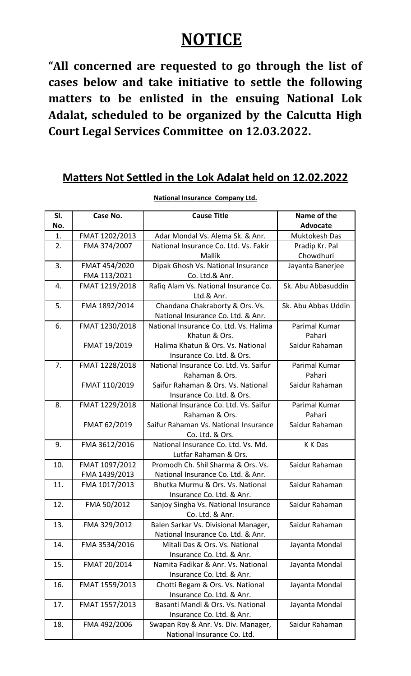# **NOTICE**

**"All concerned are requested to go through the list of cases below and take initiative to settle the following matters to be enlisted in the ensuing National Lok Adalat, scheduled to be organized by the Calcutta High Court Legal Services Committee on 12.03.2022.**

# **Matters Not Settled in the Lok Adalat held on 12.02.2022**

| SI. | Case No.       | <b>Cause Title</b>                                                     | Name of the         |
|-----|----------------|------------------------------------------------------------------------|---------------------|
| No. |                |                                                                        | Advocate            |
| 1.  | FMAT 1202/2013 | Adar Mondal Vs. Alema Sk. & Anr.                                       | Muktokesh Das       |
| 2.  | FMA 374/2007   | National Insurance Co. Ltd. Vs. Fakir                                  | Pradip Kr. Pal      |
|     |                | Mallik                                                                 | Chowdhuri           |
| 3.  | FMAT 454/2020  | Dipak Ghosh Vs. National Insurance                                     | Jayanta Banerjee    |
|     | FMA 113/2021   | Co. Ltd.& Anr.                                                         |                     |
| 4.  | FMAT 1219/2018 | Rafiq Alam Vs. National Insurance Co.                                  | Sk. Abu Abbasuddin  |
|     |                | Ltd.& Anr.                                                             |                     |
| 5.  | FMA 1892/2014  | Chandana Chakraborty & Ors. Vs.                                        | Sk. Abu Abbas Uddin |
|     |                | National Insurance Co. Ltd. & Anr.                                     |                     |
| 6.  | FMAT 1230/2018 | National Insurance Co. Ltd. Vs. Halima                                 | Parimal Kumar       |
|     |                | Khatun & Ors.                                                          | Pahari              |
|     | FMAT 19/2019   | Halima Khatun & Ors. Vs. National                                      | Saidur Rahaman      |
|     |                | Insurance Co. Ltd. & Ors.                                              |                     |
| 7.  | FMAT 1228/2018 | National Insurance Co. Ltd. Vs. Saifur                                 | Parimal Kumar       |
|     |                | Rahaman & Ors.                                                         | Pahari              |
|     | FMAT 110/2019  | Saifur Rahaman & Ors. Vs. National                                     | Saidur Rahaman      |
|     |                | Insurance Co. Ltd. & Ors.                                              |                     |
| 8.  | FMAT 1229/2018 | National Insurance Co. Ltd. Vs. Saifur                                 | Parimal Kumar       |
|     |                | Rahaman & Ors.                                                         | Pahari              |
|     | FMAT 62/2019   | Saifur Rahaman Vs. National Insurance                                  | Saidur Rahaman      |
|     |                | Co. Ltd. & Ors.                                                        |                     |
| 9.  | FMA 3612/2016  | National Insurance Co. Ltd. Vs. Md.                                    | K K Das             |
|     |                | Lutfar Rahaman & Ors.                                                  |                     |
| 10. | FMAT 1097/2012 | Promodh Ch. Shil Sharma & Ors. Vs.                                     | Saidur Rahaman      |
| 11. | FMA 1439/2013  | National Insurance Co. Ltd. & Anr.<br>Bhutka Murmu & Ors. Vs. National | Saidur Rahaman      |
|     | FMA 1017/2013  | Insurance Co. Ltd. & Anr.                                              |                     |
| 12. | FMA 50/2012    | Sanjoy Singha Vs. National Insurance                                   | Saidur Rahaman      |
|     |                | Co. Ltd. & Anr.                                                        |                     |
| 13. | FMA 329/2012   | Balen Sarkar Vs. Divisional Manager,                                   | Saidur Rahaman      |
|     |                | National Insurance Co. Ltd. & Anr.                                     |                     |
| 14. | FMA 3534/2016  | Mitali Das & Ors. Vs. National                                         | Jayanta Mondal      |
|     |                | Insurance Co. Ltd. & Anr.                                              |                     |
| 15. | FMAT 20/2014   | Namita Fadikar & Anr. Vs. National                                     | Jayanta Mondal      |
|     |                | Insurance Co. Ltd. & Anr.                                              |                     |
| 16. | FMAT 1559/2013 | Chotti Begam & Ors. Vs. National                                       | Jayanta Mondal      |
|     |                | Insurance Co. Ltd. & Anr.                                              |                     |
| 17. | FMAT 1557/2013 | Basanti Mandi & Ors. Vs. National                                      | Jayanta Mondal      |
|     |                | Insurance Co. Ltd. & Anr.                                              |                     |
| 18. | FMA 492/2006   | Swapan Roy & Anr. Vs. Div. Manager,                                    | Saidur Rahaman      |
|     |                | National Insurance Co. Ltd.                                            |                     |

**National Insurance Company Ltd.**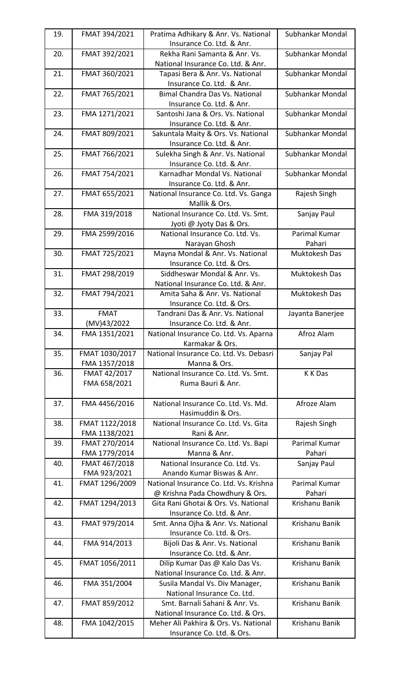| 19. | FMAT 394/2021  | Pratima Adhikary & Anr. Vs. National<br>Insurance Co. Ltd. & Anr.  | Subhankar Mondal |
|-----|----------------|--------------------------------------------------------------------|------------------|
| 20. | FMAT 392/2021  | Rekha Rani Samanta & Anr. Vs.                                      | Subhankar Mondal |
|     |                | National Insurance Co. Ltd. & Anr.                                 |                  |
| 21. | FMAT 360/2021  | Tapasi Bera & Anr. Vs. National                                    | Subhankar Mondal |
|     |                | Insurance Co. Ltd. & Anr.                                          |                  |
| 22. | FMAT 765/2021  | <b>Bimal Chandra Das Vs. National</b>                              | Subhankar Mondal |
|     |                | Insurance Co. Ltd. & Anr.                                          |                  |
| 23. | FMA 1271/2021  | Santoshi Jana & Ors. Vs. National                                  | Subhankar Mondal |
|     |                | Insurance Co. Ltd. & Anr.                                          |                  |
| 24. | FMAT 809/2021  | Sakuntala Maity & Ors. Vs. National                                | Subhankar Mondal |
|     |                | Insurance Co. Ltd. & Anr.                                          |                  |
| 25. | FMAT 766/2021  | Sulekha Singh & Anr. Vs. National                                  | Subhankar Mondal |
|     |                | Insurance Co. Ltd. & Anr.                                          |                  |
| 26. | FMAT 754/2021  | Karnadhar Mondal Vs. National                                      | Subhankar Mondal |
|     |                | Insurance Co. Ltd. & Anr.                                          |                  |
| 27. | FMAT 655/2021  | National Insurance Co. Ltd. Vs. Ganga                              | Rajesh Singh     |
|     |                | Mallik & Ors.                                                      |                  |
| 28. | FMA 319/2018   | National Insurance Co. Ltd. Vs. Smt.                               | Sanjay Paul      |
|     |                | Jyoti @ Jyoty Das & Ors.                                           |                  |
| 29. | FMA 2599/2016  | National Insurance Co. Ltd. Vs.                                    | Parimal Kumar    |
|     |                | Narayan Ghosh                                                      | Pahari           |
| 30. | FMAT 725/2021  | Mayna Mondal & Anr. Vs. National                                   | Muktokesh Das    |
|     |                | Insurance Co. Ltd. & Ors.                                          |                  |
| 31. | FMAT 298/2019  | Siddheswar Mondal & Anr. Vs.                                       | Muktokesh Das    |
|     |                | National Insurance Co. Ltd. & Anr.                                 |                  |
| 32. | FMAT 794/2021  | Amita Saha & Anr. Vs. National                                     | Muktokesh Das    |
|     |                | Insurance Co. Ltd. & Ors.                                          |                  |
| 33. | <b>FMAT</b>    | Tandrani Das & Anr. Vs. National                                   | Jayanta Banerjee |
|     | (MV)43/2022    | Insurance Co. Ltd. & Anr.                                          |                  |
| 34. | FMA 1351/2021  | National Insurance Co. Ltd. Vs. Aparna<br>Karmakar & Ors.          | Afroz Alam       |
| 35. | FMAT 1030/2017 | National Insurance Co. Ltd. Vs. Debasri                            | Sanjay Pal       |
|     | FMA 1357/2018  | Manna & Ors.                                                       |                  |
| 36. | FMAT 42/2017   | National Insurance Co. Ltd. Vs. Smt.                               | K K Das          |
|     | FMA 658/2021   | Ruma Bauri & Anr.                                                  |                  |
|     |                |                                                                    |                  |
| 37. | FMA 4456/2016  | National Insurance Co. Ltd. Vs. Md.                                | Afroze Alam      |
|     |                | Hasimuddin & Ors.                                                  |                  |
| 38. | FMAT 1122/2018 | National Insurance Co. Ltd. Vs. Gita                               | Rajesh Singh     |
|     | FMA 1138/2021  | Rani & Anr.                                                        |                  |
| 39. | FMAT 270/2014  | National Insurance Co. Ltd. Vs. Bapi                               | Parimal Kumar    |
|     | FMA 1779/2014  | Manna & Anr.                                                       | Pahari           |
| 40. | FMAT 467/2018  | National Insurance Co. Ltd. Vs.                                    | Sanjay Paul      |
|     | FMA 923/2021   | Anando Kumar Biswas & Anr.                                         |                  |
| 41. | FMAT 1296/2009 | National Insurance Co. Ltd. Vs. Krishna                            | Parimal Kumar    |
|     |                | @ Krishna Pada Chowdhury & Ors.                                    | Pahari           |
| 42. | FMAT 1294/2013 | Gita Rani Ghotai & Ors. Vs. National                               | Krishanu Banik   |
|     |                | Insurance Co. Ltd. & Anr.                                          |                  |
| 43. | FMAT 979/2014  | Smt. Anna Ojha & Anr. Vs. National                                 | Krishanu Banik   |
|     |                | Insurance Co. Ltd. & Ors.                                          |                  |
| 44. | FMA 914/2013   | Bijoli Das & Anr. Vs. National                                     | Krishanu Banik   |
|     |                | Insurance Co. Ltd. & Anr.                                          |                  |
| 45. | FMAT 1056/2011 | Dilip Kumar Das @ Kalo Das Vs.                                     | Krishanu Banik   |
|     |                | National Insurance Co. Ltd. & Anr.                                 |                  |
| 46. | FMA 351/2004   | Susila Mandal Vs. Div Manager,                                     | Krishanu Banik   |
|     |                | National Insurance Co. Ltd.                                        |                  |
| 47. | FMAT 859/2012  | Smt. Barnali Sahani & Anr. Vs.                                     | Krishanu Banik   |
|     |                | National Insurance Co. Ltd. & Ors.                                 |                  |
| 48. | FMA 1042/2015  | Meher Ali Pakhira & Ors. Vs. National<br>Insurance Co. Ltd. & Ors. | Krishanu Banik   |
|     |                |                                                                    |                  |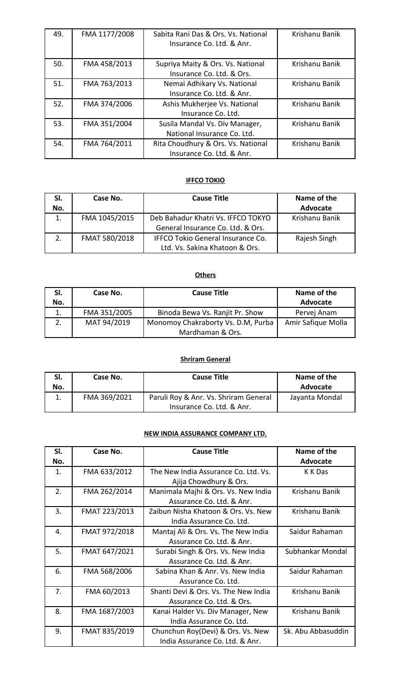| 49. | FMA 1177/2008 | Sabita Rani Das & Ors. Vs. National | Krishanu Banik |
|-----|---------------|-------------------------------------|----------------|
|     |               | Insurance Co. Ltd. & Anr.           |                |
|     |               |                                     |                |
| 50. | FMA 458/2013  | Supriya Maity & Ors. Vs. National   | Krishanu Banik |
|     |               | Insurance Co. Ltd. & Ors.           |                |
| 51. | FMA 763/2013  | Nemai Adhikary Vs. National         | Krishanu Banik |
|     |               | Insurance Co. Ltd. & Anr.           |                |
| 52. | FMA 374/2006  | Ashis Mukherjee Vs. National        | Krishanu Banik |
|     |               | Insurance Co. Ltd.                  |                |
| 53. | FMA 351/2004  | Susila Mandal Vs. Div Manager,      | Krishanu Banik |
|     |               | National Insurance Co. Ltd.         |                |
| 54. | FMA 764/2011  | Rita Choudhury & Ors. Vs. National  | Krishanu Banik |
|     |               | Insurance Co. Ltd. & Anr.           |                |

#### **IFFCO TOKIO**

| SI. | Case No.      | <b>Cause Title</b>                       | Name of the     |
|-----|---------------|------------------------------------------|-----------------|
| No. |               |                                          | <b>Advocate</b> |
| 1.  | FMA 1045/2015 | Deb Bahadur Khatri Vs. IFFCO TOKYO       | Krishanu Banik  |
|     |               | General Insurance Co. Ltd. & Ors.        |                 |
|     | FMAT 580/2018 | <b>IFFCO Tokio General Insurance Co.</b> | Rajesh Singh    |
|     |               | Ltd. Vs. Sakina Khatoon & Ors.           |                 |

## **Others**

| SI. | Case No.     | <b>Cause Title</b>                 | Name of the        |
|-----|--------------|------------------------------------|--------------------|
| No. |              |                                    | Advocate           |
| 1   | FMA 351/2005 | Binoda Bewa Vs. Ranjit Pr. Show    | Pervej Anam        |
|     | MAT 94/2019  | Monomoy Chakraborty Vs. D.M, Purba | Amir Safique Molla |
|     |              | Mardhaman & Ors.                   |                    |

# **Shriram General**

| SI.<br>No. | Case No.     | <b>Cause Title</b>                                                 | Name of the<br>Advocate |
|------------|--------------|--------------------------------------------------------------------|-------------------------|
|            | FMA 369/2021 | Paruli Roy & Anr. Vs. Shriram General<br>Insurance Co. Ltd. & Anr. | Jayanta Mondal          |

# **NEW INDIA ASSURANCE COMPANY LTD.**

| SI. | Case No.      | <b>Cause Title</b>                   | Name of the        |
|-----|---------------|--------------------------------------|--------------------|
| No. |               |                                      | Advocate           |
| 1.  | FMA 633/2012  | The New India Assurance Co. Ltd. Vs. | K K Das            |
|     |               | Ajija Chowdhury & Ors.               |                    |
| 2.  | FMA 262/2014  | Manimala Majhi & Ors. Vs. New India  | Krishanu Banik     |
|     |               | Assurance Co. Ltd. & Anr.            |                    |
| 3.  | FMAT 223/2013 | Zaibun Nisha Khatoon & Ors. Vs. New  | Krishanu Banik     |
|     |               | India Assurance Co. Ltd.             |                    |
| 4.  | FMAT 972/2018 | Mantaj Ali & Ors. Vs. The New India  | Saidur Rahaman     |
|     |               | Assurance Co. Ltd. & Anr.            |                    |
| 5.  | FMAT 647/2021 | Surabi Singh & Ors. Vs. New India    | Subhankar Mondal   |
|     |               | Assurance Co. Ltd. & Anr.            |                    |
| 6.  | FMA 568/2006  | Sabina Khan & Anr. Vs. New India     | Saidur Rahaman     |
|     |               | Assurance Co. Ltd.                   |                    |
| 7.  | FMA 60/2013   | Shanti Devi & Ors. Vs. The New India | Krishanu Banik     |
|     |               | Assurance Co. Ltd. & Ors.            |                    |
| 8.  | FMA 1687/2003 | Kanai Halder Vs. Div Manager, New    | Krishanu Banik     |
|     |               | India Assurance Co. Ltd.             |                    |
| 9.  | FMAT 835/2019 | Chunchun Roy(Devi) & Ors. Vs. New    | Sk. Abu Abbasuddin |
|     |               | India Assurance Co. Ltd. & Anr.      |                    |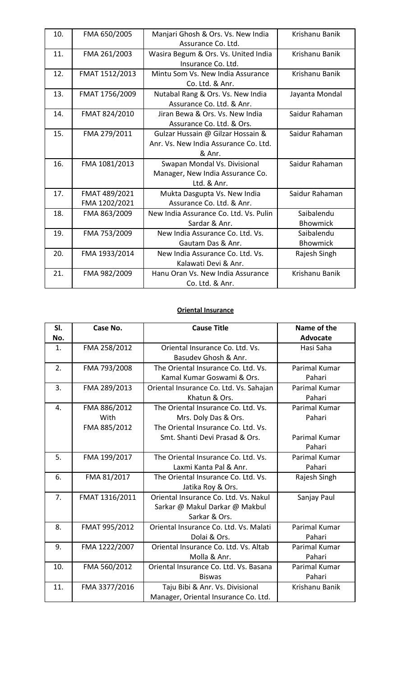| 10. | FMA 650/2005   | Manjari Ghosh & Ors. Vs. New India     | Krishanu Banik  |
|-----|----------------|----------------------------------------|-----------------|
|     |                | Assurance Co. Ltd.                     |                 |
| 11. | FMA 261/2003   | Wasira Begum & Ors. Vs. United India   | Krishanu Banik  |
|     |                | Insurance Co. Ltd.                     |                 |
| 12. | FMAT 1512/2013 | Mintu Som Vs. New India Assurance      | Krishanu Banik  |
|     |                | Co. Ltd. & Anr.                        |                 |
| 13. | FMAT 1756/2009 | Nutabal Rang & Ors. Vs. New India      | Jayanta Mondal  |
|     |                | Assurance Co. Ltd. & Anr.              |                 |
| 14. | FMAT 824/2010  | Jiran Bewa & Ors. Vs. New India        | Saidur Rahaman  |
|     |                | Assurance Co. Ltd. & Ors.              |                 |
| 15. | FMA 279/2011   | Gulzar Hussain @ Gilzar Hossain &      | Saidur Rahaman  |
|     |                | Anr. Vs. New India Assurance Co. Ltd.  |                 |
|     |                | & Anr.                                 |                 |
| 16. | FMA 1081/2013  | Swapan Mondal Vs. Divisional           | Saidur Rahaman  |
|     |                | Manager, New India Assurance Co.       |                 |
|     |                | Ltd. & Anr.                            |                 |
| 17. | FMAT 489/2021  | Mukta Dasgupta Vs. New India           | Saidur Rahaman  |
|     | FMA 1202/2021  | Assurance Co. Ltd. & Anr.              |                 |
| 18. | FMA 863/2009   | New India Assurance Co. Ltd. Vs. Pulin | Saibalendu      |
|     |                | Sardar & Anr.                          | <b>Bhowmick</b> |
| 19. | FMA 753/2009   | New India Assurance Co. Ltd. Vs.       | Saibalendu      |
|     |                | Gautam Das & Anr.                      | <b>Bhowmick</b> |
| 20. | FMA 1933/2014  | New India Assurance Co. Ltd. Vs.       | Rajesh Singh    |
|     |                | Kalawati Devi & Anr.                   |                 |
| 21. | FMA 982/2009   | Hanu Oran Vs. New India Assurance      | Krishanu Banik  |
|     |                | Co. Ltd. & Anr.                        |                 |

# **Oriental Insurance**

| SI. | Case No.       | <b>Cause Title</b>                      | Name of the          |
|-----|----------------|-----------------------------------------|----------------------|
| No. |                |                                         | <b>Advocate</b>      |
| 1.  | FMA 258/2012   | Oriental Insurance Co. Ltd. Vs.         | Hasi Saha            |
|     |                | Basudev Ghosh & Anr.                    |                      |
| 2.  | FMA 793/2008   | The Oriental Insurance Co. Ltd. Vs.     | <b>Parimal Kumar</b> |
|     |                | Kamal Kumar Goswami & Ors.              | Pahari               |
| 3.  | FMA 289/2013   | Oriental Insurance Co. Ltd. Vs. Sahajan | Parimal Kumar        |
|     |                | Khatun & Ors.                           | Pahari               |
| 4.  | FMA 886/2012   | The Oriental Insurance Co. Ltd. Vs.     | Parimal Kumar        |
|     | With           | Mrs. Doly Das & Ors.                    | Pahari               |
|     | FMA 885/2012   | The Oriental Insurance Co. Ltd. Vs.     |                      |
|     |                | Smt. Shanti Devi Prasad & Ors.          | Parimal Kumar        |
|     |                |                                         | Pahari               |
| 5.  | FMA 199/2017   | The Oriental Insurance Co. Ltd. Vs.     | Parimal Kumar        |
|     |                | Laxmi Kanta Pal & Anr.                  | Pahari               |
| 6.  | FMA 81/2017    | The Oriental Insurance Co. Ltd. Vs.     | Rajesh Singh         |
|     |                | Jatika Roy & Ors.                       |                      |
| 7.  | FMAT 1316/2011 | Oriental Insurance Co. Ltd. Vs. Nakul   | Sanjay Paul          |
|     |                | Sarkar @ Makul Darkar @ Makbul          |                      |
|     |                | Sarkar & Ors.                           |                      |
| 8.  | FMAT 995/2012  | Oriental Insurance Co. Ltd. Vs. Malati  | <b>Parimal Kumar</b> |
|     |                | Dolai & Ors.                            | Pahari               |
| 9.  | FMA 1222/2007  | Oriental Insurance Co. Ltd. Vs. Altab   | <b>Parimal Kumar</b> |
|     |                | Molla & Anr.                            | Pahari               |
| 10. | FMA 560/2012   | Oriental Insurance Co. Ltd. Vs. Basana  | Parimal Kumar        |
|     |                | <b>Biswas</b>                           | Pahari               |
| 11. | FMA 3377/2016  | Taju Bibi & Anr. Vs. Divisional         | Krishanu Banik       |
|     |                | Manager, Oriental Insurance Co. Ltd.    |                      |